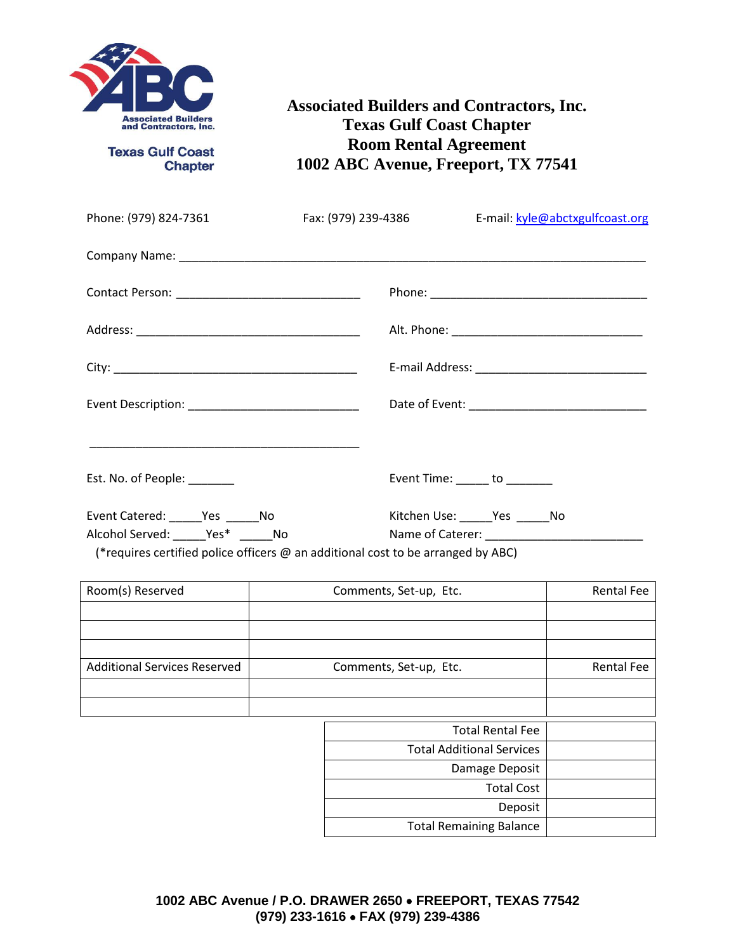

**Texas Gulf Coast Chapter** 

**Associated Builders and Contractors, Inc. Texas Gulf Coast Chapter Room Rental Agreement 1002 ABC Avenue, Freeport, TX 77541**

| Phone: (979) 824-7361                                                                   | Fax: (979) 239-4386 E-mail: kyle@abctxgulfcoast.org                    |
|-----------------------------------------------------------------------------------------|------------------------------------------------------------------------|
|                                                                                         |                                                                        |
|                                                                                         |                                                                        |
|                                                                                         |                                                                        |
|                                                                                         |                                                                        |
|                                                                                         |                                                                        |
| Est. No. of People: _______                                                             | Event Time: $\_\_\_\_$ to $\_\_\_\_\_\_\_$                             |
| Event Catered: ______Yes ______No<br>Alcohol Served: ______Yes* ______No                | Kitchen Use: ______ Yes ______ No<br>Name of Caterer: Name of Caterer: |
| (*requires certified police officers $\omega$ an additional cost to be arranged by ABC) |                                                                        |

| Room(s) Reserved                    | Comments, Set-up, Etc.           | <b>Rental Fee</b> |
|-------------------------------------|----------------------------------|-------------------|
|                                     |                                  |                   |
|                                     |                                  |                   |
|                                     |                                  |                   |
| <b>Additional Services Reserved</b> | Comments, Set-up, Etc.           | <b>Rental Fee</b> |
|                                     |                                  |                   |
|                                     |                                  |                   |
|                                     | <b>Total Rental Fee</b>          |                   |
|                                     | <b>Total Additional Services</b> |                   |
|                                     | Damage Deposit                   |                   |
|                                     | <b>Total Cost</b>                |                   |
|                                     | Deposit                          |                   |
|                                     | <b>Total Remaining Balance</b>   |                   |